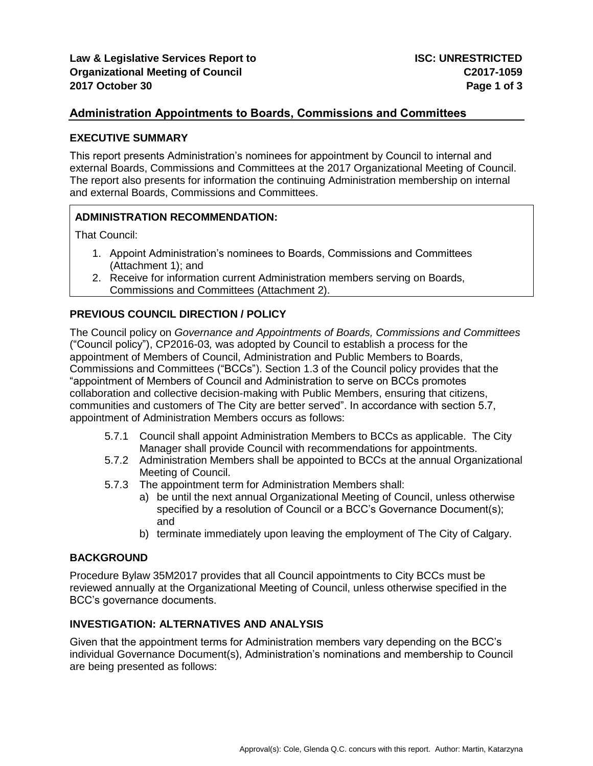# **Administration Appointments to Boards, Commissions and Committees**

#### **EXECUTIVE SUMMARY**

This report presents Administration's nominees for appointment by Council to internal and external Boards, Commissions and Committees at the 2017 Organizational Meeting of Council. The report also presents for information the continuing Administration membership on internal and external Boards, Commissions and Committees.

## **ADMINISTRATION RECOMMENDATION:**

That Council:

- 1. Appoint Administration's nominees to Boards, Commissions and Committees (Attachment 1); and
- 2. Receive for information current Administration members serving on Boards, Commissions and Committees (Attachment 2).

## **PREVIOUS COUNCIL DIRECTION / POLICY**

The Council policy on *Governance and Appointments of Boards, Commissions and Committees* ("Council policy"), CP2016-03*,* was adopted by Council to establish a process for the appointment of Members of Council, Administration and Public Members to Boards, Commissions and Committees ("BCCs"). Section 1.3 of the Council policy provides that the "appointment of Members of Council and Administration to serve on BCCs promotes collaboration and collective decision-making with Public Members, ensuring that citizens, communities and customers of The City are better served". In accordance with section 5.7, appointment of Administration Members occurs as follows:

- 5.7.1 Council shall appoint Administration Members to BCCs as applicable. The City Manager shall provide Council with recommendations for appointments.
- 5.7.2 Administration Members shall be appointed to BCCs at the annual Organizational Meeting of Council.
- 5.7.3 The appointment term for Administration Members shall:
	- a) be until the next annual Organizational Meeting of Council, unless otherwise specified by a resolution of Council or a BCC's Governance Document(s); and
	- b) terminate immediately upon leaving the employment of The City of Calgary.

## **BACKGROUND**

Procedure Bylaw 35M2017 provides that all Council appointments to City BCCs must be reviewed annually at the Organizational Meeting of Council, unless otherwise specified in the BCC's governance documents.

## **INVESTIGATION: ALTERNATIVES AND ANALYSIS**

Given that the appointment terms for Administration members vary depending on the BCC's individual Governance Document(s), Administration's nominations and membership to Council are being presented as follows: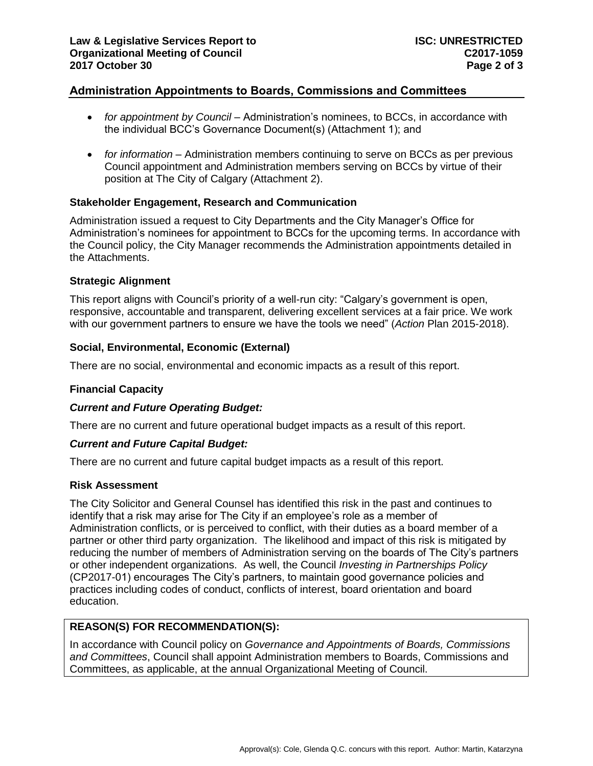# **Administration Appointments to Boards, Commissions and Committees**

- *for appointment by Council* Administration's nominees, to BCCs, in accordance with the individual BCC's Governance Document(s) (Attachment 1); and
- *for information* Administration members continuing to serve on BCCs as per previous Council appointment and Administration members serving on BCCs by virtue of their position at The City of Calgary (Attachment 2).

## **Stakeholder Engagement, Research and Communication**

Administration issued a request to City Departments and the City Manager's Office for Administration's nominees for appointment to BCCs for the upcoming terms. In accordance with the Council policy, the City Manager recommends the Administration appointments detailed in the Attachments.

## **Strategic Alignment**

This report aligns with Council's priority of a well-run city: "Calgary's government is open, responsive, accountable and transparent, delivering excellent services at a fair price. We work with our government partners to ensure we have the tools we need" (*Action* Plan 2015-2018).

## **Social, Environmental, Economic (External)**

There are no social, environmental and economic impacts as a result of this report.

#### **Financial Capacity**

#### *Current and Future Operating Budget:*

There are no current and future operational budget impacts as a result of this report.

#### *Current and Future Capital Budget:*

There are no current and future capital budget impacts as a result of this report.

#### **Risk Assessment**

The City Solicitor and General Counsel has identified this risk in the past and continues to identify that a risk may arise for The City if an employee's role as a member of Administration conflicts, or is perceived to conflict, with their duties as a board member of a partner or other third party organization. The likelihood and impact of this risk is mitigated by reducing the number of members of Administration serving on the boards of The City's partners or other independent organizations. As well, the Council *Investing in Partnerships Policy* (CP2017-01) encourages The City's partners, to maintain good governance policies and practices including codes of conduct, conflicts of interest, board orientation and board education.

## **REASON(S) FOR RECOMMENDATION(S):**

In accordance with Council policy on *Governance and Appointments of Boards, Commissions and Committees*, Council shall appoint Administration members to Boards, Commissions and Committees, as applicable, at the annual Organizational Meeting of Council.